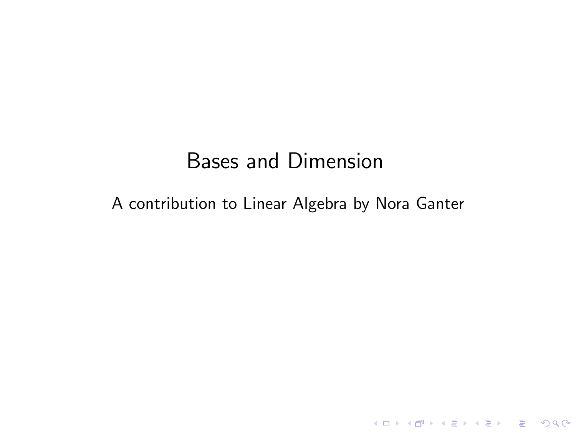# Bases and Dimension

#### A contribution to Linear Algebra by Nora Ganter

K ロ ▶ K @ ▶ K 할 ▶ K 할 ▶ | 할 | ⊙Q @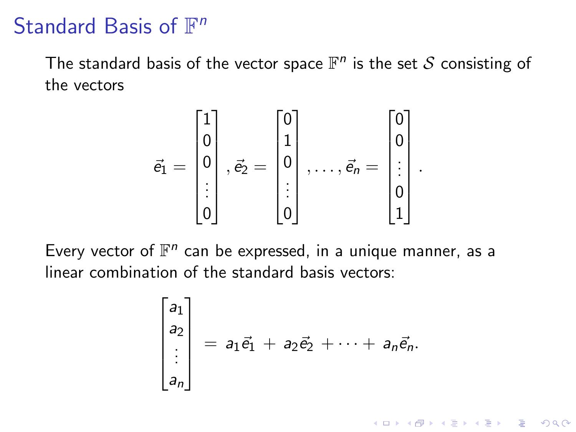# Standard Basis of  $\mathbb{F}^n$

The standard basis of the vector space  $\mathbb{F}^n$  is the set  $\mathcal S$  consisting of the vectors

$$
\vec{e}_1 = \begin{bmatrix} 1 \\ 0 \\ 0 \\ \vdots \\ 0 \end{bmatrix}, \vec{e}_2 = \begin{bmatrix} 0 \\ 1 \\ 0 \\ \vdots \\ 0 \end{bmatrix}, \dots, \vec{e}_n = \begin{bmatrix} 0 \\ 0 \\ \vdots \\ 0 \\ 1 \end{bmatrix}.
$$

Every vector of  $\mathbb{F}^n$  can be expressed, in a unique manner, as a linear combination of the standard basis vectors:

$$
\begin{bmatrix} a_1 \\ a_2 \\ \vdots \\ a_n \end{bmatrix} = a_1 \vec{e}_1 + a_2 \vec{e}_2 + \cdots + a_n \vec{e}_n.
$$

K ロ ▶ K 個 ▶ K 할 ▶ K 할 ▶ 이 할 → 9 Q Q →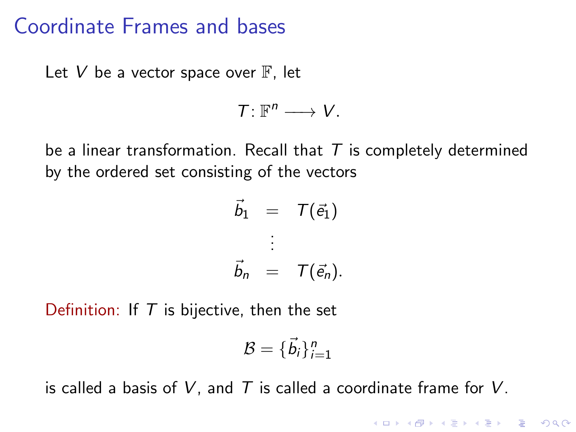#### Coordinate Frames and bases

Let V be a vector space over  $\mathbb F$ , let

$$
\mathcal{T}\colon \mathbb{F}^n\longrightarrow V.
$$

be a linear transformation. Recall that  $T$  is completely determined by the ordered set consisting of the vectors

$$
\vec{b}_1 = T(\vec{e}_1)
$$
\n
$$
\vdots
$$
\n
$$
\vec{b}_n = T(\vec{e}_n).
$$

Definition: If  $T$  is bijective, then the set

$$
\mathcal{B} = \{\vec{b}_i\}_{i=1}^n
$$

K ロ ▶ K 個 ▶ K 할 ▶ K 할 ▶ 이 할 → 9 Q Q →

is called a basis of V, and T is called a coordinate frame for V.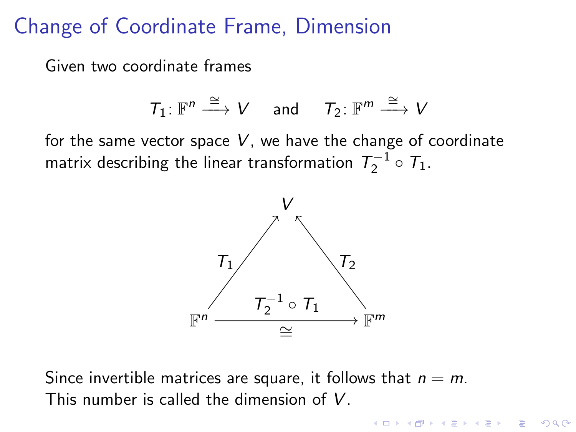### Change of Coordinate Frame, Dimension

Given two coordinate frames

$$
\mathcal{T}_1\colon \mathbb{F}^n\overset{\cong}{\longrightarrow} V\quad \text{ and }\quad \mathcal{T}_2\colon \mathbb{F}^m\overset{\cong}{\longrightarrow} V
$$

for the same vector space  $V$ , we have the change of coordinate matrix describing the linear transformation  $\, T_2^{-1} \circ \, T_1 . \,$ 



Since invertible matrices are square, it follows that  $n = m$ . This number is called the dimension of V.

> $\mathbf{E} = \mathbf{A} \oplus \mathbf{B} + \mathbf{A} \oplus \mathbf{B} + \mathbf{A} \oplus \mathbf{B} + \mathbf{A} \oplus \mathbf{A}$  $2Q$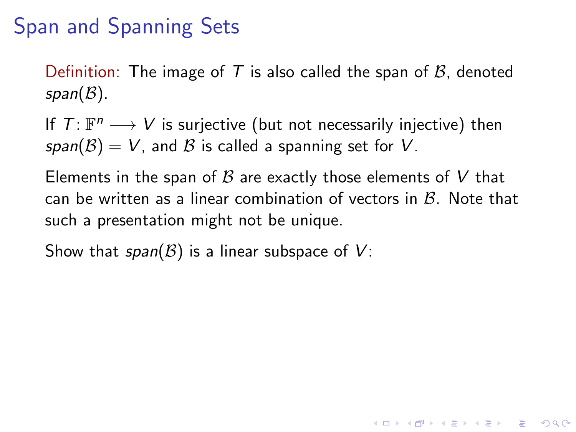# Span and Spanning Sets

Definition: The image of T is also called the span of  $\beta$ , denoted  $span(\mathcal{B})$ .

If  $T: \mathbb{F}^n \longrightarrow V$  is surjective (but not necessarily injective) then span( $\mathcal{B}$ ) = V, and  $\mathcal{B}$  is called a spanning set for V.

Elements in the span of  $\beta$  are exactly those elements of V that can be written as a linear combination of vectors in  $\mathcal{B}$ . Note that such a presentation might not be unique.

Show that  $span(\mathcal{B})$  is a linear subspace of  $V$ :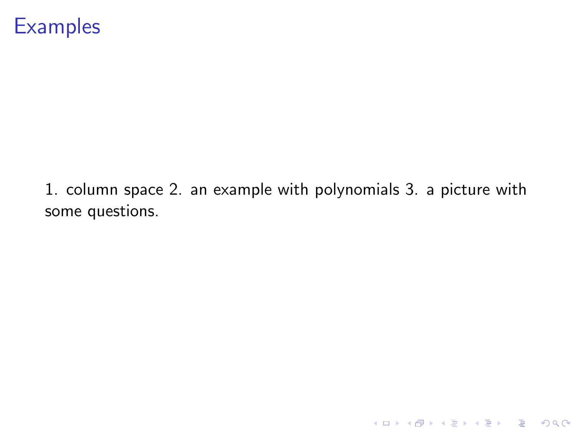### **Examples**

1. column space 2. an example with polynomials 3. a picture with some questions.

K ロ ▶ K @ ▶ K 할 ▶ K 할 ▶ | 할 | ⊙Q @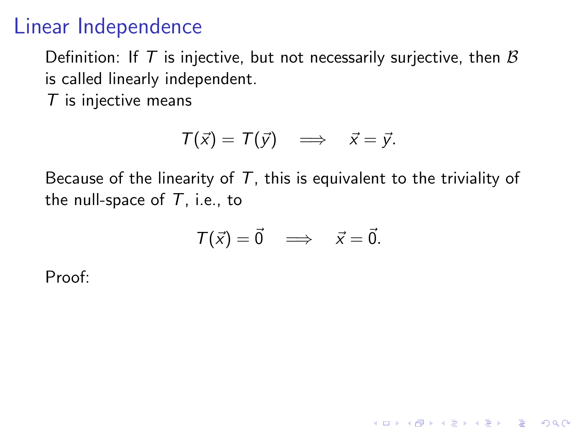## Linear Independence

Definition: If T is injective, but not necessarily surjective, then  $\beta$ is called linearly independent.

 $T$  is injective means

$$
T(\vec{x}) = T(\vec{y}) \implies \vec{x} = \vec{y}.
$$

Because of the linearity of  $T$ , this is equivalent to the triviality of the null-space of  $T$ , i.e., to

$$
T(\vec{x}) = \vec{0} \implies \vec{x} = \vec{0}.
$$

K ロ ▶ K 個 ▶ K 할 ▶ K 할 ▶ 이 할 → 9 Q Q →

Proof: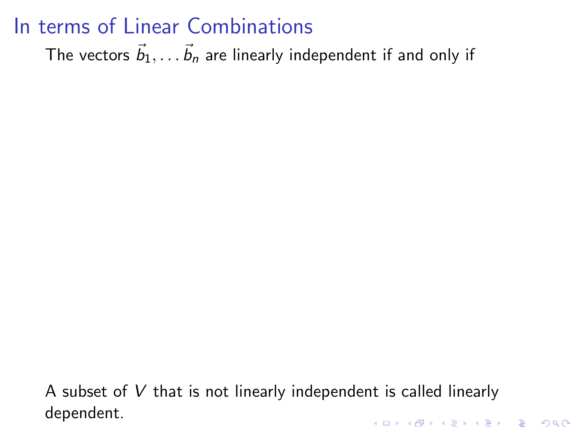# In terms of Linear Combinations

The vectors  $\vec{b}_1, \ldots \vec{b}_n$  are linearly independent if and only if

A subset of  $V$  that is not linearly independent is called linearly dependent.KID KA KERKER KID KO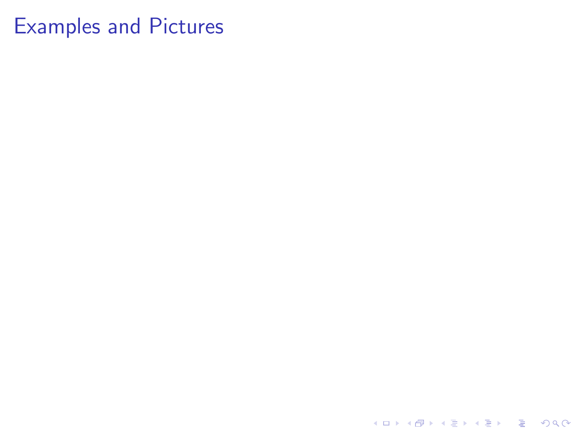# Examples and Pictures

K ロ ▶ K @ ▶ K 할 ▶ K 할 ▶ | 할 | ⊙Q @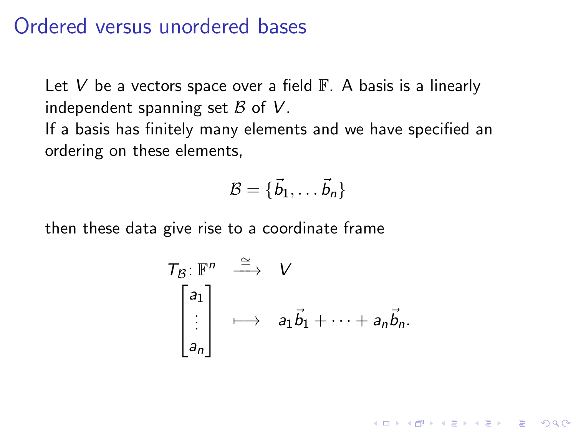#### Ordered versus unordered bases

Let V be a vectors space over a field  $\mathbb{F}$ . A basis is a linearly independent spanning set  $\beta$  of  $V$ .

If a basis has finitely many elements and we have specified an ordering on these elements,

$$
\mathcal{B} = \{ \vec{b}_1, \ldots \vec{b}_n \}
$$

then these data give rise to a coordinate frame

$$
T_{\mathcal{B}}: \mathbb{F}^n \xrightarrow{\cong} V
$$
  
\n
$$
\begin{bmatrix} a_1 \\ \vdots \\ a_n \end{bmatrix} \mapsto a_1 \vec{b}_1 + \cdots + a_n \vec{b}_n.
$$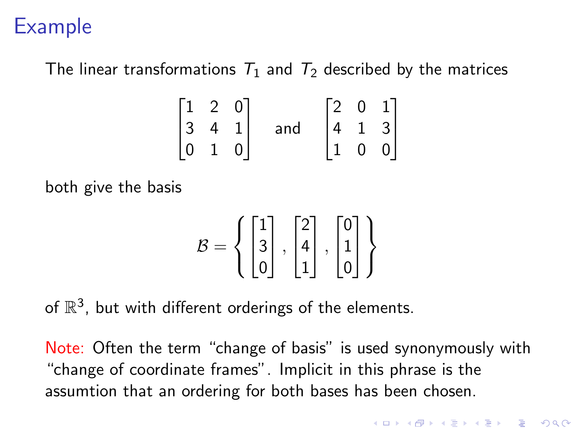# Example

The linear transformations  $T_1$  and  $T_2$  described by the matrices

$$
\begin{bmatrix} 1 & 2 & 0 \ 3 & 4 & 1 \ 0 & 1 & 0 \end{bmatrix} \quad \text{and} \quad \begin{bmatrix} 2 & 0 & 1 \ 4 & 1 & 3 \ 1 & 0 & 0 \end{bmatrix}
$$

both give the basis

$$
\mathcal{B} = \left\{ \begin{bmatrix} 1 \\ 3 \\ 0 \end{bmatrix}, \begin{bmatrix} 2 \\ 4 \\ 1 \end{bmatrix}, \begin{bmatrix} 0 \\ 1 \\ 0 \end{bmatrix} \right\}
$$

of  $\mathbb{R}^3$ , but with different orderings of the elements.

Note: Often the term "change of basis" is used synonymously with "change of coordinate frames". Implicit in this phrase is the assumtion that an ordering for both bases has been chosen.